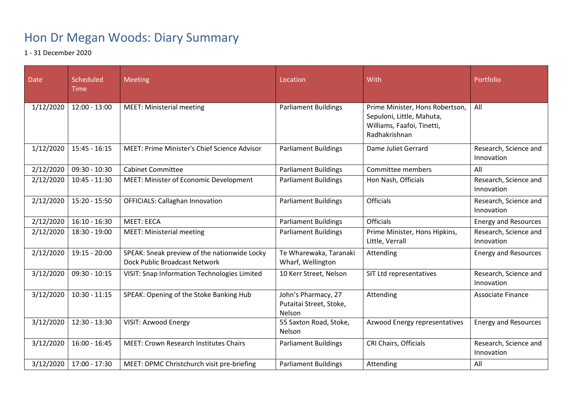## Hon Dr Megan Woods: Diary Summary

1 - 31 December 2020

| Date      | <b>Scheduled</b><br><b>Time</b> | Meeting                                                                       | Location                                                 | With                                                                                                        | Portfolio                           |
|-----------|---------------------------------|-------------------------------------------------------------------------------|----------------------------------------------------------|-------------------------------------------------------------------------------------------------------------|-------------------------------------|
| 1/12/2020 | $12:00 - 13:00$                 | <b>MEET: Ministerial meeting</b>                                              | <b>Parliament Buildings</b>                              | Prime Minister, Hons Robertson,<br>Sepuloni, Little, Mahuta,<br>Williams, Faafoi, Tinetti,<br>Radhakrishnan | All                                 |
| 1/12/2020 | $15:45 - 16:15$                 | MEET: Prime Minister's Chief Science Advisor                                  | <b>Parliament Buildings</b>                              | Dame Juliet Gerrard                                                                                         | Research, Science and<br>Innovation |
| 2/12/2020 | $09:30 - 10:30$                 | <b>Cabinet Committee</b>                                                      | <b>Parliament Buildings</b>                              | Committee members                                                                                           | All                                 |
| 2/12/2020 | $10:45 - 11:30$                 | MEET: Minister of Economic Development                                        | <b>Parliament Buildings</b>                              | Hon Nash, Officials                                                                                         | Research, Science and<br>Innovation |
| 2/12/2020 | $15:20 - 15:50$                 | <b>OFFICIALS: Callaghan Innovation</b>                                        | <b>Parliament Buildings</b>                              | <b>Officials</b>                                                                                            | Research, Science and<br>Innovation |
| 2/12/2020 | $16:10 - 16:30$                 | <b>MEET: EECA</b>                                                             | <b>Parliament Buildings</b>                              | <b>Officials</b>                                                                                            | <b>Energy and Resources</b>         |
| 2/12/2020 | 18:30 - 19:00                   | <b>MEET: Ministerial meeting</b>                                              | <b>Parliament Buildings</b>                              | Prime Minister, Hons Hipkins,<br>Little, Verrall                                                            | Research, Science and<br>Innovation |
| 2/12/2020 | 19:15 - 20:00                   | SPEAK: Sneak preview of the nationwide Locky<br>Dock Public Broadcast Network | Te Wharewaka, Taranaki<br>Wharf, Wellington              | Attending                                                                                                   | <b>Energy and Resources</b>         |
| 3/12/2020 | $09:30 - 10:15$                 | <b>VISIT: Snap Information Technologies Limited</b>                           | 10 Kerr Street, Nelson                                   | SIT Ltd representatives                                                                                     | Research, Science and<br>Innovation |
| 3/12/2020 | $10:30 - 11:15$                 | SPEAK: Opening of the Stoke Banking Hub                                       | John's Pharmacy, 27<br>Putaitai Street, Stoke,<br>Nelson | Attending                                                                                                   | <b>Associate Finance</b>            |
| 3/12/2020 | $12:30 - 13:30$                 | VISIT: Azwood Energy                                                          | 55 Saxton Road, Stoke,<br>Nelson                         | Azwood Energy representatives                                                                               | <b>Energy and Resources</b>         |
| 3/12/2020 | $16:00 - 16:45$                 | <b>MEET: Crown Research Institutes Chairs</b>                                 | <b>Parliament Buildings</b>                              | CRI Chairs, Officials                                                                                       | Research, Science and<br>Innovation |
| 3/12/2020 | 17:00 - 17:30                   | MEET: DPMC Christchurch visit pre-briefing                                    | <b>Parliament Buildings</b>                              | Attending                                                                                                   | All                                 |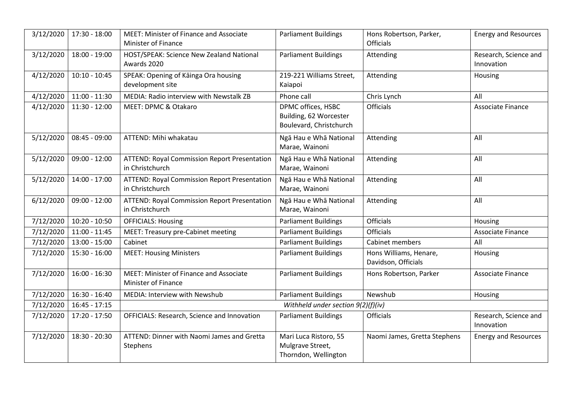| 3/12/2020 | 17:30 - 18:00   | MEET: Minister of Finance and Associate<br>Minister of Finance         | <b>Parliament Buildings</b>                                             | Hons Robertson, Parker,<br><b>Officials</b>   | <b>Energy and Resources</b>         |
|-----------|-----------------|------------------------------------------------------------------------|-------------------------------------------------------------------------|-----------------------------------------------|-------------------------------------|
| 3/12/2020 | 18:00 - 19:00   | HOST/SPEAK: Science New Zealand National<br>Awards 2020                | <b>Parliament Buildings</b>                                             | Attending                                     | Research, Science and<br>Innovation |
| 4/12/2020 | $10:10 - 10:45$ | SPEAK: Opening of Kainga Ora housing<br>development site               | 219-221 Williams Street,<br>Kaiapoi                                     | Attending                                     | Housing                             |
| 4/12/2020 | $11:00 - 11:30$ | MEDIA: Radio interview with Newstalk ZB                                | Phone call                                                              | Chris Lynch                                   | All                                 |
| 4/12/2020 | $11:30 - 12:00$ | MEET: DPMC & Otakaro                                                   | DPMC offices, HSBC<br>Building, 62 Worcester<br>Boulevard, Christchurch | <b>Officials</b>                              | Associate Finance                   |
| 5/12/2020 | $08:45 - 09:00$ | ATTEND: Mihi whakatau                                                  | Ngā Hau e Whā National<br>Marae, Wainoni                                | Attending                                     | All                                 |
| 5/12/2020 | $09:00 - 12:00$ | <b>ATTEND: Royal Commission Report Presentation</b><br>in Christchurch | Ngā Hau e Whā National<br>Marae, Wainoni                                | Attending                                     | All                                 |
| 5/12/2020 | 14:00 - 17:00   | <b>ATTEND: Royal Commission Report Presentation</b><br>in Christchurch | Ngā Hau e Whā National<br>Marae, Wainoni                                | Attending                                     | All                                 |
| 6/12/2020 | $09:00 - 12:00$ | <b>ATTEND: Royal Commission Report Presentation</b><br>in Christchurch | Ngā Hau e Whā National<br>Marae, Wainoni                                | Attending                                     | All                                 |
| 7/12/2020 | $10:20 - 10:50$ | <b>OFFICIALS: Housing</b>                                              | <b>Parliament Buildings</b>                                             | <b>Officials</b>                              | Housing                             |
| 7/12/2020 | $11:00 - 11:45$ | MEET: Treasury pre-Cabinet meeting                                     | <b>Parliament Buildings</b>                                             | <b>Officials</b>                              | Associate Finance                   |
| 7/12/2020 | $13:00 - 15:00$ | Cabinet                                                                | <b>Parliament Buildings</b>                                             | <b>Cabinet members</b>                        | All                                 |
| 7/12/2020 | $15:30 - 16:00$ | <b>MEET: Housing Ministers</b>                                         | <b>Parliament Buildings</b>                                             | Hons Williams, Henare,<br>Davidson, Officials | Housing                             |
| 7/12/2020 | $16:00 - 16:30$ | MEET: Minister of Finance and Associate<br>Minister of Finance         | <b>Parliament Buildings</b>                                             | Hons Robertson, Parker                        | Associate Finance                   |
| 7/12/2020 | 16:30 - 16:40   | MEDIA: Interview with Newshub                                          | <b>Parliament Buildings</b>                                             | Newshub                                       | Housing                             |
| 7/12/2020 | $16:45 - 17:15$ |                                                                        | Withheld under section 9(2)(f)(iv)                                      |                                               |                                     |
| 7/12/2020 | 17:20 - 17:50   | OFFICIALS: Research, Science and Innovation                            | <b>Parliament Buildings</b>                                             | <b>Officials</b>                              | Research, Science and<br>Innovation |
| 7/12/2020 | 18:30 - 20:30   | ATTEND: Dinner with Naomi James and Gretta<br>Stephens                 | Mari Luca Ristoro, 55<br>Mulgrave Street,<br>Thorndon, Wellington       | Naomi James, Gretta Stephens                  | <b>Energy and Resources</b>         |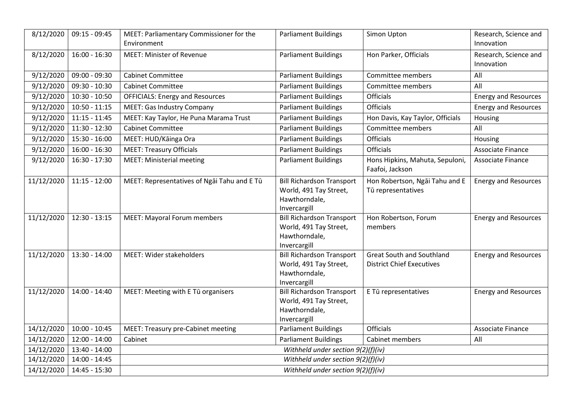| 8/12/2020  | $09:15 - 09:45$ | MEET: Parliamentary Commissioner for the    | <b>Parliament Buildings</b>                                                                 | Simon Upton                                                          | Research, Science and       |
|------------|-----------------|---------------------------------------------|---------------------------------------------------------------------------------------------|----------------------------------------------------------------------|-----------------------------|
|            |                 | Environment                                 |                                                                                             |                                                                      | Innovation                  |
| 8/12/2020  | $16:00 - 16:30$ | <b>MEET: Minister of Revenue</b>            | <b>Parliament Buildings</b>                                                                 | Hon Parker, Officials                                                | Research, Science and       |
|            |                 |                                             |                                                                                             |                                                                      | Innovation                  |
| 9/12/2020  | $09:00 - 09:30$ | <b>Cabinet Committee</b>                    | <b>Parliament Buildings</b>                                                                 | Committee members                                                    | All                         |
| 9/12/2020  | 09:30 - 10:30   | <b>Cabinet Committee</b>                    | <b>Parliament Buildings</b>                                                                 | Committee members                                                    | All                         |
| 9/12/2020  | $10:30 - 10:50$ | <b>OFFICIALS: Energy and Resources</b>      | <b>Parliament Buildings</b>                                                                 | <b>Officials</b>                                                     | <b>Energy and Resources</b> |
| 9/12/2020  | $10:50 - 11:15$ | <b>MEET: Gas Industry Company</b>           | <b>Parliament Buildings</b>                                                                 | <b>Officials</b>                                                     | <b>Energy and Resources</b> |
| 9/12/2020  | $11:15 - 11:45$ | MEET: Kay Taylor, He Puna Marama Trust      | <b>Parliament Buildings</b>                                                                 | Hon Davis, Kay Taylor, Officials                                     | Housing                     |
| 9/12/2020  | 11:30 - 12:30   | <b>Cabinet Committee</b>                    | <b>Parliament Buildings</b>                                                                 | Committee members                                                    | All                         |
| 9/12/2020  | 15:30 - 16:00   | MEET: HUD/Kāinga Ora                        | <b>Parliament Buildings</b>                                                                 | <b>Officials</b>                                                     | Housing                     |
| 9/12/2020  | $16:00 - 16:30$ | <b>MEET: Treasury Officials</b>             | <b>Parliament Buildings</b>                                                                 | Officials                                                            | <b>Associate Finance</b>    |
| 9/12/2020  | 16:30 - 17:30   | <b>MEET: Ministerial meeting</b>            | <b>Parliament Buildings</b>                                                                 | Hons Hipkins, Mahuta, Sepuloni,<br>Faafoi, Jackson                   | <b>Associate Finance</b>    |
| 11/12/2020 | $11:15 - 12:00$ | MEET: Representatives of Ngai Tahu and E Tū | <b>Bill Richardson Transport</b><br>World, 491 Tay Street,<br>Hawthorndale,<br>Invercargill | Hon Robertson, Ngai Tahu and E<br>Tū representatives                 | <b>Energy and Resources</b> |
| 11/12/2020 | $12:30 - 13:15$ | <b>MEET: Mayoral Forum members</b>          | <b>Bill Richardson Transport</b><br>World, 491 Tay Street,<br>Hawthorndale,<br>Invercargill | Hon Robertson, Forum<br>members                                      | <b>Energy and Resources</b> |
| 11/12/2020 | 13:30 - 14:00   | MEET: Wider stakeholders                    | <b>Bill Richardson Transport</b><br>World, 491 Tay Street,<br>Hawthorndale,<br>Invercargill | <b>Great South and Southland</b><br><b>District Chief Executives</b> | <b>Energy and Resources</b> |
| 11/12/2020 | $14:00 - 14:40$ | MEET: Meeting with E Tū organisers          | <b>Bill Richardson Transport</b><br>World, 491 Tay Street,<br>Hawthorndale,<br>Invercargill | E Tū representatives                                                 | <b>Energy and Resources</b> |
| 14/12/2020 | $10:00 - 10:45$ | MEET: Treasury pre-Cabinet meeting          | <b>Parliament Buildings</b>                                                                 | <b>Officials</b>                                                     | <b>Associate Finance</b>    |
| 14/12/2020 | $12:00 - 14:00$ | Cabinet                                     | <b>Parliament Buildings</b>                                                                 | Cabinet members                                                      | All                         |
| 14/12/2020 | 13:40 - 14:00   | Withheld under section 9(2)(f)(iv)          |                                                                                             |                                                                      |                             |
| 14/12/2020 | 14:00 - 14:45   | Withheld under section 9(2)(f)(iv)          |                                                                                             |                                                                      |                             |
| 14/12/2020 | 14:45 - 15:30   | Withheld under section 9(2)(f)(iv)          |                                                                                             |                                                                      |                             |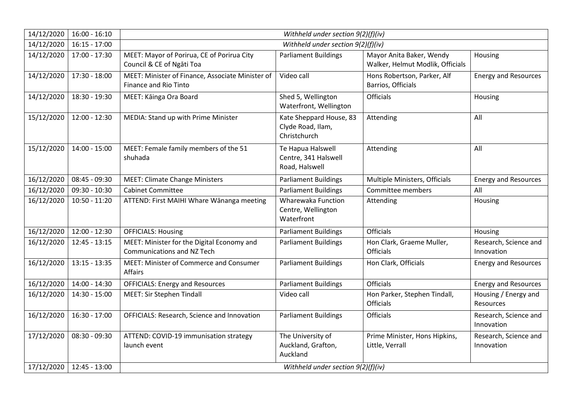| 14/12/2020 | $16:00 - 16:10$                               | Withheld under section $9(2)(f)(iv)$                                             |                                                              |                                                              |                                     |
|------------|-----------------------------------------------|----------------------------------------------------------------------------------|--------------------------------------------------------------|--------------------------------------------------------------|-------------------------------------|
| 14/12/2020 | $16:15 - 17:00$                               | Withheld under section 9(2)(f)(iv)                                               |                                                              |                                                              |                                     |
| 14/12/2020 | 17:00 - 17:30                                 | MEET: Mayor of Porirua, CE of Porirua City<br>Council & CE of Ngāti Toa          | <b>Parliament Buildings</b>                                  | Mayor Anita Baker, Wendy<br>Walker, Helmut Modlik, Officials | Housing                             |
| 14/12/2020 | 17:30 - 18:00                                 | MEET: Minister of Finance, Associate Minister of<br><b>Finance and Rio Tinto</b> | Video call                                                   | Hons Robertson, Parker, Alf<br>Barrios, Officials            | <b>Energy and Resources</b>         |
| 14/12/2020 | 18:30 - 19:30                                 | MEET: Kāinga Ora Board                                                           | Shed 5, Wellington<br>Waterfront, Wellington                 | <b>Officials</b>                                             | Housing                             |
| 15/12/2020 | 12:00 - 12:30                                 | MEDIA: Stand up with Prime Minister                                              | Kate Sheppard House, 83<br>Clyde Road, Ilam,<br>Christchurch | Attending                                                    | All                                 |
| 15/12/2020 | $14:00 - 15:00$                               | MEET: Female family members of the 51<br>shuhada                                 | Te Hapua Halswell<br>Centre, 341 Halswell<br>Road, Halswell  | Attending                                                    | All                                 |
| 16/12/2020 | 08:45 - 09:30                                 | <b>MEET: Climate Change Ministers</b>                                            | <b>Parliament Buildings</b>                                  | Multiple Ministers, Officials                                | <b>Energy and Resources</b>         |
| 16/12/2020 | 09:30 - 10:30                                 | <b>Cabinet Committee</b>                                                         | <b>Parliament Buildings</b>                                  | Committee members                                            | All                                 |
| 16/12/2020 | $10:50 - 11:20$                               | ATTEND: First MAIHI Whare Wānanga meeting                                        | Wharewaka Function<br>Centre, Wellington<br>Waterfront       | Attending                                                    | Housing                             |
| 16/12/2020 | $12:00 - 12:30$                               | <b>OFFICIALS: Housing</b>                                                        | <b>Parliament Buildings</b>                                  | <b>Officials</b>                                             | Housing                             |
| 16/12/2020 | $12:45 - 13:15$                               | MEET: Minister for the Digital Economy and<br><b>Communications and NZ Tech</b>  | <b>Parliament Buildings</b>                                  | Hon Clark, Graeme Muller,<br>Officials                       | Research, Science and<br>Innovation |
| 16/12/2020 | $13:15 - 13:35$                               | MEET: Minister of Commerce and Consumer<br><b>Affairs</b>                        | <b>Parliament Buildings</b>                                  | Hon Clark, Officials                                         | <b>Energy and Resources</b>         |
| 16/12/2020 | $14:00 - 14:30$                               | <b>OFFICIALS: Energy and Resources</b>                                           | <b>Parliament Buildings</b>                                  | <b>Officials</b>                                             | <b>Energy and Resources</b>         |
| 16/12/2020 | $14:30 - 15:00$                               | <b>MEET: Sir Stephen Tindall</b>                                                 | Video call                                                   | Hon Parker, Stephen Tindall,<br><b>Officials</b>             | Housing / Energy and<br>Resources   |
| 16/12/2020 | $16:30 - 17:00$                               | OFFICIALS: Research, Science and Innovation                                      | <b>Parliament Buildings</b>                                  | Officials                                                    | Research, Science and<br>Innovation |
| 17/12/2020 | $08:30 - 09:30$<br>17/12/2020   12:45 - 13:00 | ATTEND: COVID-19 immunisation strategy<br>launch event                           | The University of<br>Auckland, Grafton,<br>Auckland          | Prime Minister, Hons Hipkins,<br>Little, Verrall             | Research, Science and<br>Innovation |
|            |                                               | Withheld under section 9(2)(f)(iv)                                               |                                                              |                                                              |                                     |